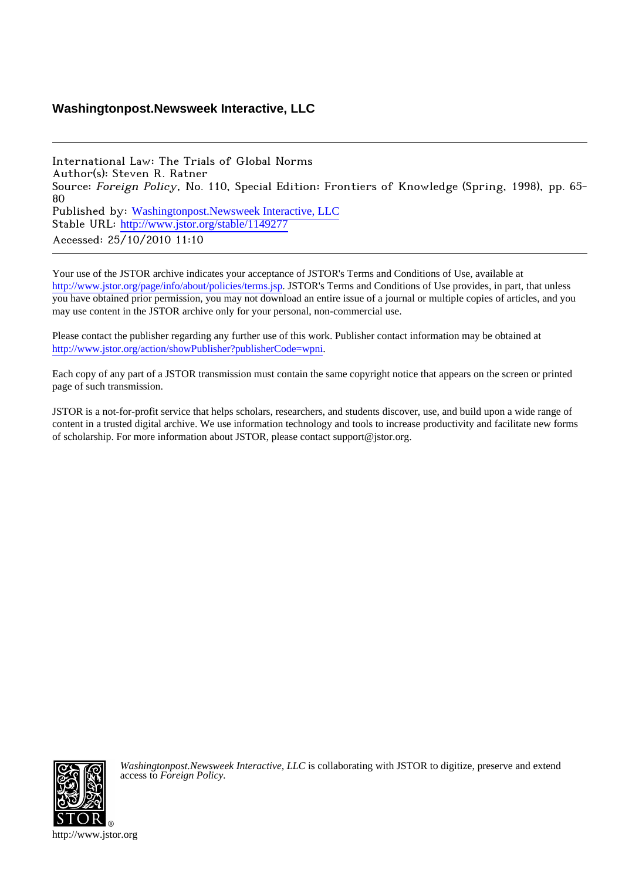## **Washingtonpost.Newsweek Interactive, LLC**

International Law: The Trials of Global Norms Author(s): Steven R. Ratner Source: Foreign Policy, No. 110, Special Edition: Frontiers of Knowledge (Spring, 1998), pp. 65- 80 Published by: [Washingtonpost.Newsweek Interactive, LLC](http://www.jstor.org/action/showPublisher?publisherCode=wpni) Stable URL: [http://www.jstor.org/stable/1149277](http://www.jstor.org/stable/1149277?origin=JSTOR-pdf) Accessed: 25/10/2010 11:10

Your use of the JSTOR archive indicates your acceptance of JSTOR's Terms and Conditions of Use, available at <http://www.jstor.org/page/info/about/policies/terms.jsp>. JSTOR's Terms and Conditions of Use provides, in part, that unless you have obtained prior permission, you may not download an entire issue of a journal or multiple copies of articles, and you may use content in the JSTOR archive only for your personal, non-commercial use.

Please contact the publisher regarding any further use of this work. Publisher contact information may be obtained at [http://www.jstor.org/action/showPublisher?publisherCode=wpni.](http://www.jstor.org/action/showPublisher?publisherCode=wpni)

Each copy of any part of a JSTOR transmission must contain the same copyright notice that appears on the screen or printed page of such transmission.

JSTOR is a not-for-profit service that helps scholars, researchers, and students discover, use, and build upon a wide range of content in a trusted digital archive. We use information technology and tools to increase productivity and facilitate new forms of scholarship. For more information about JSTOR, please contact support@jstor.org.



*Washingtonpost.Newsweek Interactive, LLC* is collaborating with JSTOR to digitize, preserve and extend access to *Foreign Policy.*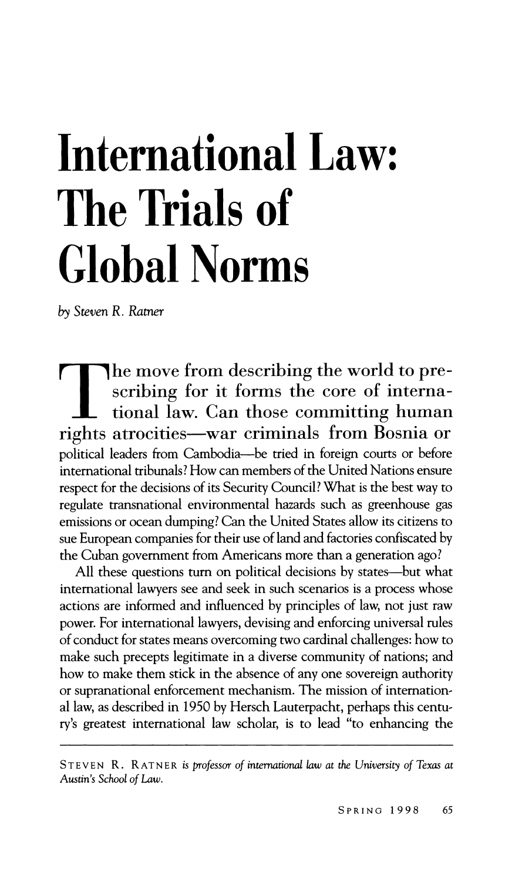# **International Law: The Trials of Global Norms**

**by Steven R. Ratner** 

**The move from describing the world to prescribing for it forms the core of international law. Can those committing human rights atrocities-war criminals from Bosnia or political leaders from Cambodia-be tried in foreign courts or before international tribunals? How can members of the United Nations ensure respect for the decisions of its Security Council? What is the best way to**  regulate transnational environmental hazards such as greenhouse gas **emissions or ocean dumping? Can the United States allow its citizens to sue European companies for their use of land and factories confiscated by the Cuban government from Americans more than a generation ago?** 

**All these questions turn on political decisions by states-but what international lawyers see and seek in such scenarios is a process whose actions are informed and influenced by principles of law, not just raw power. For international lawyers, devising and enforcing universal rules of conduct for states means overcoming two cardinal challenges: how to make such precepts legitimate in a diverse community of nations; and how to make them stick in the absence of any one sovereign authority or supranational enforcement mechanism. The mission of international law, as described in 1950 by Hersch Lauterpacht, perhaps this century's greatest international law scholar, is to lead "to enhancing the** 

**STE VEN R. R AT NER is professor of international law at the University of Texas at Austin's School of Law.**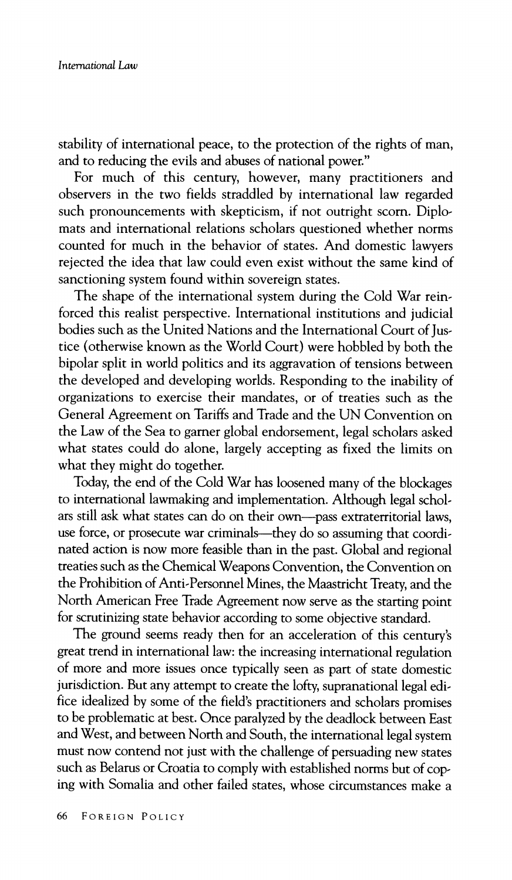**stability of international peace, to the protection of the rights of man, and to reducing the evils and abuses of national power."** 

**For much of this century, however, many practitioners and observers in the two fields straddled by international law regarded such pronouncements with skepticism, if not outright scorn. Diplomats and international relations scholars questioned whether norms counted for much in the behavior of states. And domestic lawyers rejected the idea that law could even exist without the same kind of sanctioning system found within sovereign states.** 

**The shape of the international system during the Cold War reinforced this realist perspective. International institutions and judicial bodies such as the United Nations and the International Court of Justice (otherwise known as the World Court) were hobbled by both the bipolar split in world politics and its aggravation of tensions between the developed and developing worlds. Responding to the inability of organizations to exercise their mandates, or of treaties such as the General Agreement on Tariffs and Trade and the UN Convention on the Law of the Sea to garner global endorsement, legal scholars asked what states could do alone, largely accepting as fixed the limits on what they might do together.** 

**Today, the end of the Cold War has loosened many of the blockages to international lawmaking and implementation. Although legal scholars still ask what states can do on their own-pass extraterritorial laws,**  use force, or prosecute war criminals—they do so assuming that coordi**nated action is now more feasible than in the past. Global and regional**  treaties such as the Chemical Weapons Convention, the Convention on **the Prohibition of Anti-Personnel Mines, the Maastricht Treaty, and the North American Free Trade Agreement now serve as the starting point for scrutinizing state behavior according to some objective standard.** 

**The ground seems ready then for an acceleration of this century's great trend in international law: the increasing international regulation of more and more issues once typically seen as part of state domestic jurisdiction. But any attempt to create the lofty, supranational legal edifice idealized by some of the field's practitioners and scholars promises to be problematic at best. Once paralyzed by the deadlock between East and West, and between North and South, the international legal system must now contend not just with the challenge of persuading new states such as Belarus or Croatia to comply with established norms but of coping with Somalia and other failed states, whose circumstances make a**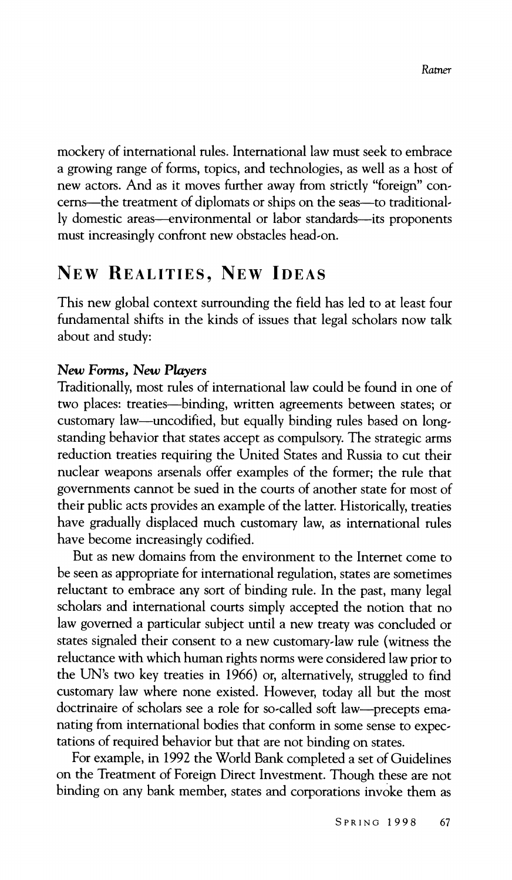**mockery of international rules. International law must seek to embrace a growing range of forms, topics, and technologies, as well as a host of new actors. And as it moves further away from strictly "foreign" con**cerns—the treatment of diplomats or ships on the seas—to traditional**ly domestic areas--environmental or labor standards-its proponents must increasingly confront new obstacles head-on.** 

### **NEW REALITIES, NEW IDEAS**

**This new global context surrounding the field has led to at least four fundamental shifts in the kinds of issues that legal scholars now talk about and study:** 

#### **New Forms, New Players**

**Traditionally, most rules of international law could be found in one of two places: treaties-binding, written agreements between states; or customary law-uncodified, but equally binding rules based on longstanding behavior that states accept as compulsory. The strategic arms reduction treaties requiring the United States and Russia to cut their nuclear weapons arsenals offer examples of the former; the rule that governments cannot be sued in the courts of another state for most of their public acts provides an example of the latter. Historically, treaties have gradually displaced much customary law, as international rules have become increasingly codified.** 

But as new domains from the environment to the Internet come to **be seen as appropriate for international regulation, states are sometimes**  reluctant to embrace any sort of binding rule. In the past, many legal **scholars and international courts simply accepted the notion that no law governed a particular subject until a new treaty was concluded or states signaled their consent to a new customary-law rule (witness the reluctance with which human rights norms were considered law prior to the UN's two key treaties in 1966) or, alternatively, struggled to find customary law where none existed. However, today all but the most**  doctrinaire of scholars see a role for so-called soft law—precepts ema**nating from international bodies that conform in some sense to expectations of required behavior but that are not binding on states.** 

**For example, in 1992 the World Bank completed a set of Guidelines on the Treatment of Foreign Direct Investment. Though these are not binding on any bank member, states and corporations invoke them as**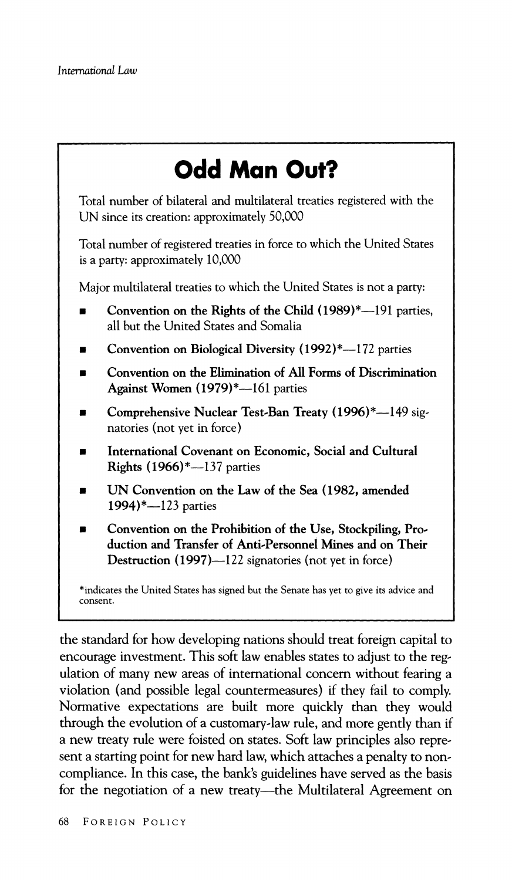# **Odd Man Out?**

**Total number of bilateral and multilateral treaties registered with the UN since its creation: approximately 50,000** 

**Total number of registered treaties in force to which the United States is a party: approximately 10,000** 

**Major multilateral treaties to which the United States is not a party:** 

- **Convention on the Rights of the Child (1989)\*-191 parties, all but the United States and Somalia**
- **Convention on Biological Diversity (1992)\*-172 parties**
- **N Convention on the Elimination of All Forms of Discrimination Against Women (1979)\*-161 parties**
- Comprehensive Nuclear Test-Ban Treaty (1996)\*-149 sig**natories (not yet in force)**
- **N International Covenant on Economic, Social and Cultural Rights (1966)\*-137 parties**
- **N UN Convention on the Law of the Sea (1982, amended 1994)\*-123 parties**
- Convention on the Prohibition of the Use, Stockpiling, Pro**duction and Transfer of Anti-Personnel Mines and on Their**  Destruction (1997)-122 signatories (not yet in force)

**\*indicates the United States has signed but the Senate has yet to give its advice and consent.** 

**the standard for how developing nations should treat foreign capital to encourage investment. This soft law enables states to adjust to the regulation of many new areas of international concern without fearing a violation (and possible legal countermeasures) if they fail to comply. Normative expectations are built more quickly than they would through the evolution of a customary-law rule, and more gently than if a new treaty rule were foisted on states. Soft law principles also represent a starting point for new hard law, which attaches a penalty to noncompliance. In this case, the bank's guidelines have served as the basis**  for the negotiation of a new treaty—the Multilateral Agreement on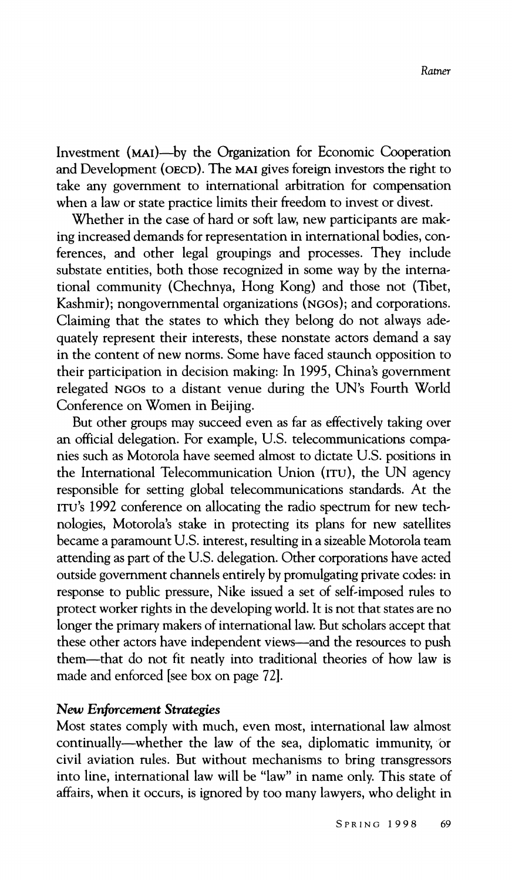**Investment (MAI)—by the Organization for Economic Cooperation and Development (OECD). The MAI gives foreign investors the right to take any government to international arbitration for compensation when a law or state practice limits their freedom to invest or divest.** 

**Whether in the case of hard or soft law, new participants are making increased demands for representation in international bodies, conferences, and other legal groupings and processes. They include substate entities, both those recognized in some way by the international community (Chechnya, Hong Kong) and those not (Tibet, Kashmir); nongovernmental organizations (NGos); and corporations. Claiming that the states to which they belong do not always adequately represent their interests, these nonstate actors demand a say in the content of new norms. Some have faced staunch opposition to their participation in decision making: In 1995, China's government relegated NGOs to a distant venue during the UN's Fourth World Conference on Women in Beijing.** 

**But other groups may succeed even as far as effectively taking over an official delegation. For example, U.S. telecommunications companies such as Motorola have seemed almost to dictate U.S. positions in the International Telecommunication Union (ITU), the UN agency responsible for setting global telecommunications standards. At the ITU's 1992 conference on allocating the radio spectrum for new tech**nologies, Motorola's stake in protecting its plans for new satellites **became a paramount U.S. interest, resulting in a sizeable Motorola team attending as part of the U.S. delegation. Other corporations have acted outside government channels entirely by promulgating private codes: in response to public pressure, Nike issued a set of self-imposed rules to protect worker rights in the developing world. It is not that states are no longer the primary makers of international law. But scholars accept that these other actors have independent views-and the resources to push them-that do not fit neatly into traditional theories of how law is made and enforced [see box on page 72].** 

#### **New Enforcement Strategies**

**Most states comply with much, even most, international law almost**  continually-whether the law of the sea, diplomatic immunity, or **civil aviation rules. But without mechanisms to bring transgressors into line, international law will be "law" in name only. This state of affairs, when it occurs, is ignored by too many lawyers, who delight in**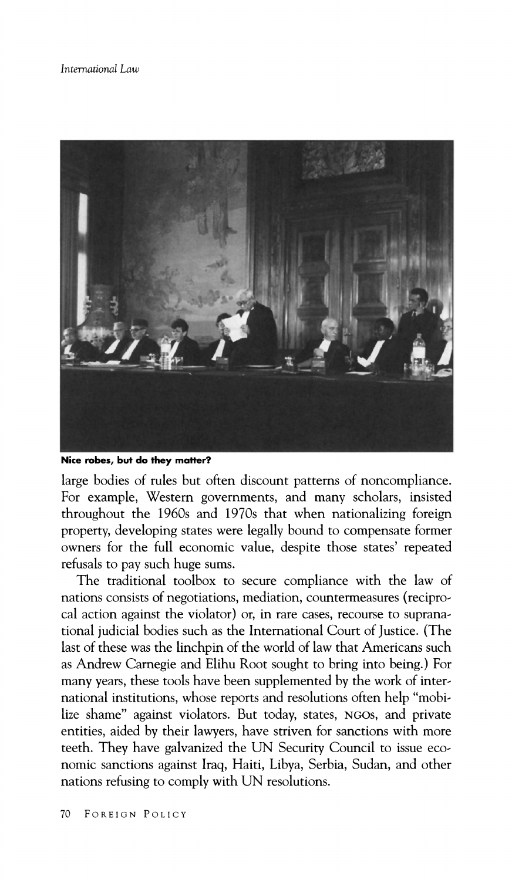#### **International Law**



**Nice robes, but do they matter?** 

**large bodies of rules but often discount patterns of noncompliance. For example, Western governments, and many scholars, insisted throughout the 1960s and 1970s that when nationalizing foreign property, developing states were legally bound to compensate former owners for the full economic value, despite those states' repeated refusals to pay such huge sums.** 

**The traditional toolbox to secure compliance with the law of nations consists of negotiations, mediation, countermeasures (reciprocal action against the violator) or, in rare cases, recourse to supranational judicial bodies such as the International Court of Justice. (The**  last of these was the linchpin of the world of law that Americans such **as Andrew Carnegie and Elihu Root sought to bring into being.) For many years, these tools have been supplemented by the work of international institutions, whose reports and resolutions often help "mobilize shame" against violators. But today, states, NGOs, and private entities, aided by their lawyers, have striven for sanctions with more teeth. They have galvanized the UN Security Council to issue economic sanctions against Iraq, Haiti, Libya, Serbia, Sudan, and other nations refusing to comply with UN resolutions.**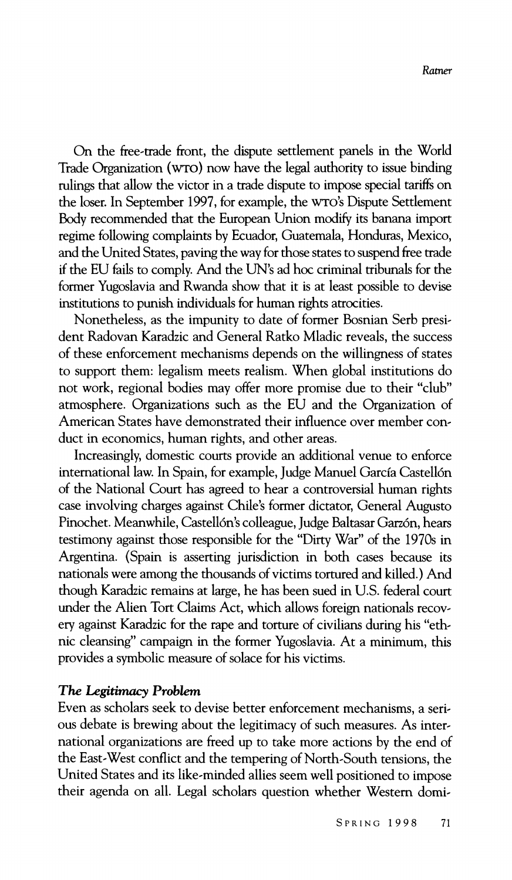**On the free-trade front, the dispute settlement panels in the World Trade Organization (wTo) now have the legal authority to issue binding rulings that allow the victor in a trade dispute to impose special tariffs on the loser. In September 1997, for example, the wTro's Dispute Settlement Body recommended that the European Union modify its banana import regime following complaints by Ecuador, Guatemala, Honduras, Mexico, and the United States, paving the way for those states to suspend free trade if the EU fails to comply. And the UN's ad hoc criminal tribunals for the former Yugoslavia and Rwanda show that it is at least possible to devise institutions to punish individuals for human rights atrocities.** 

**Nonetheless, as the impunity to date of former Bosnian Serb president Radovan Karadzic and General Ratko Mladic reveals, the success of these enforcement mechanisms depends on the willingness of states to support them: legalism meets realism. When global institutions do not work, regional bodies may offer more promise due to their "club" atmosphere. Organizations such as the EU and the Organization of American States have demonstrated their influence over member conduct in economics, human rights, and other areas.** 

**Increasingly, domestic courts provide an additional venue to enforce**  international law. In Spain, for example, Judge Manuel García Castellón **of the National Court has agreed to hear a controversial human rights case involving charges against Chile's former dictator, General Augusto Pinochet. Meanwhile, Castell6n's colleague, Judge Baltasar Garz6n, hears testimony against those responsible for the "Dirty War" of the 1970s in Argentina. (Spain is asserting jurisdiction in both cases because its nationals were among the thousands of victims tortured and killed.) And though Karadzic remains at large, he has been sued in U.S. federal court under the Alien Tort Claims Act, which allows foreign nationals recovery against Karadzic for the rape and torture of civilians during his "ethnic cleansing" campaign in the former Yugoslavia. At a minimum, this provides a symbolic measure of solace for his victims.** 

#### **The Legitimacy Problem**

**Even as scholars seek to devise better enforcement mechanisms, a serious debate is brewing about the legitimacy of such measures. As international organizations are freed up to take more actions by the end of the East-West conflict and the tempering of North-South tensions, the United States and its like-minded allies seem well positioned to impose their agenda on all. Legal scholars question whether Western domi-**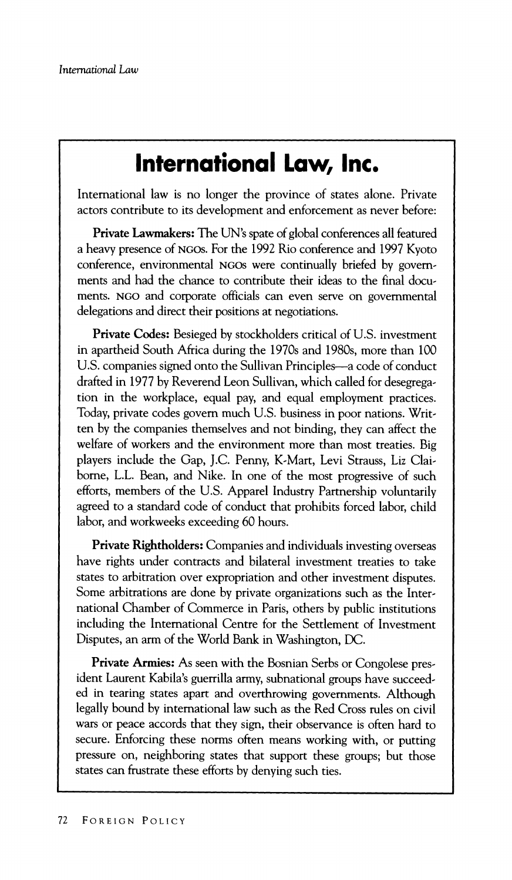# **International Law, Inc.**

**International law is no longer the province of states alone. Private actors contribute to its development and enforcement as never before:** 

**Private Lawmakers: The UN's spate of global conferences all featured a heavy presence of NGOs. For the 1992 Rio conference and 1997 Kyoto conference, environmental NGOs were continually briefed by governments and had the chance to contribute their ideas to the final documents. NGO and corporate officials can even serve on governmental**  delegations and direct their positions at negotiations.

**Private Codes: Besieged by stockholders critical of U.S. investment in apartheid South Africa during the 1970s and 1980s, more than 100 U.S. companies signed onto the Sullivan Principles-a code of conduct drafted in 1977 by Reverend Leon Sullivan, which called for desegregation in the workplace, equal pay, and equal employment practices. Today, private codes govern much U.S. business in poor nations. Written by the companies themselves and not binding, they can affect the welfare of workers and the environment more than most treaties. Big players include the Gap, J.C. Penny, K-Mart, Levi Strauss, Liz Claiborne, L.L. Bean, and Nike. In one of the most progressive of such efforts, members of the U.S. Apparel Industry Partnership voluntarily agreed to a standard code of conduct that prohibits forced labor, child labor, and workweeks exceeding 60 hours.** 

**Private Rightholders: Companies and individuals investing overseas**  have rights under contracts and bilateral investment treaties to take **states to arbitration over expropriation and other investment disputes. Some arbitrations are done by private organizations such as the International Chamber of Commerce in Paris, others by public institutions including the International Centre for the Settlement of Investment Disputes, an arm of the World Bank in Washington, DC.** 

**Private Armies: As seen with the Bosnian Serbs or Congolese pres**ident Laurent Kabila's guerrilla army, subnational groups have succeed**ed in tearing states apart and overthrowing governments. Although legally bound by international law such as the Red Cross rules on civil wars or peace accords that they sign, their observance is often hard to secure. Enforcing these norms often means working with, or putting pressure on, neighboring states that support these groups; but those states can frustrate these efforts by denying such ties.**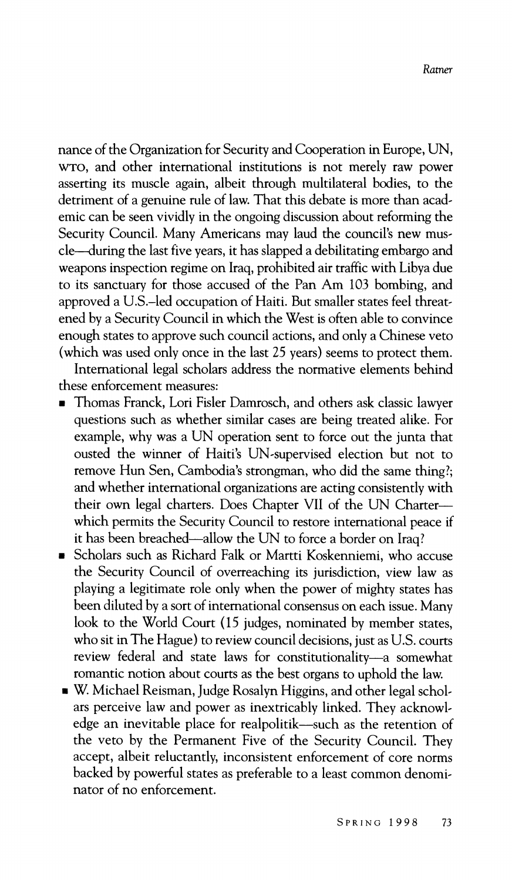**nance of the Organization for Security and Cooperation in Europe, UN, WTO, and other international institutions is not merely raw power asserting its muscle again, albeit through multilateral bodies, to the detriment of a genuine rule of law. That this debate is more than academic can be seen vividly in the ongoing discussion about reforming the Security Council. Many Americans may laud the council's new muscle---during the last five years, it has slapped a debilitating embargo and weapons inspection regime on Iraq, prohibited air traffic with Libya due to its sanctuary for those accused of the Pan Am 103 bombing, and approved a U.S.-led occupation of Haiti. But smaller states feel threatened by a Security Council in which the West is often able to convince enough states to approve such council actions, and only a Chinese veto (which was used only once in the last 25 years) seems to protect them.** 

International legal scholars address the normative elements behind **these enforcement measures:** 

- **" Thomas Franck, Lori Fisler Damrosch, and others ask classic lawyer questions such as whether similar cases are being treated alike. For example, why was a UN operation sent to force out the junta that ousted the winner of Haiti's UN-supervised election but not to remove Hun Sen, Cambodia's strongman, who did the same thing?; and whether international organizations are acting consistently with their own legal charters. Does Chapter VII of the UN Charterwhich permits the Security Council to restore international peace if it has been breached-allow the UN to force a border on Iraq?**
- **" Scholars such as Richard Falk or Martti Koskenniemi, who accuse the Security Council of overreaching its jurisdiction, view law as playing a legitimate role only when the power of mighty states has been diluted by a sort of international consensus on each issue. Many look to the World Court (15 judges, nominated by member states, who sit in The Hague) to review council decisions, just as U.S. courts review federal and state laws for constitutionality-a somewhat romantic notion about courts as the best organs to uphold the law.**
- $\bullet$  W. Michael Reisman, Judge Rosalyn Higgins, and other legal schol**ars perceive law and power as inextricably linked. They acknowledge an inevitable place for realpolitik—such as the retention of the veto by the Permanent Five of the Security Council. They accept, albeit reluctantly, inconsistent enforcement of core norms backed by powerful states as preferable to a least common denominator of no enforcement.**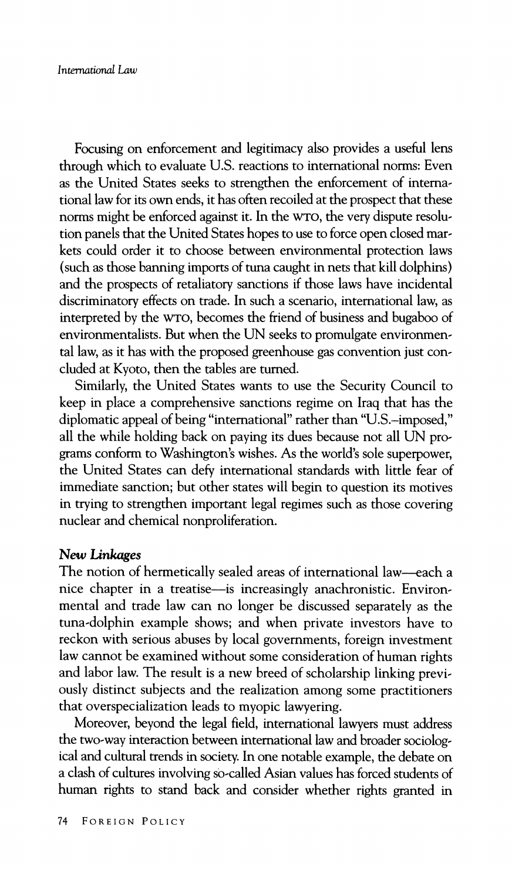**Focusing on enforcement and legitimacy also provides a useful lens through which to evaluate U.S. reactions to international norms: Even as the United States seeks to strengthen the enforcement of international law for its own ends, it has often recoiled at the prospect that these norms might be enforced against it. In the WTO, the very dispute resolution panels that the United States hopes to use to force open closed markets could order it to choose between environmental protection laws (such as those banning imports of tuna caught in nets that kill dolphins) and the prospects of retaliatory sanctions if those laws have incidental discriminatory effects on trade. In such a scenario, international law, as interpreted by the WTO, becomes the friend of business and bugaboo of environmentalists. But when the UN seeks to promulgate environmental law, as it has with the proposed greenhouse gas convention just concluded at Kyoto, then the tables are turned.** 

**Similarly, the United States wants to use the Security Council to keep in place a comprehensive sanctions regime on Iraq that has the diplomatic appeal of being "international" rather than "U.S.-imposed," all the while holding back on paying its dues because not all UN programs conform to Washington's wishes. As the world's sole superpower, the United States can defy international standards with little fear of immediate sanction; but other states will begin to question its motives in trying to strengthen important legal regimes such as those covering nuclear and chemical nonproliferation.** 

#### **New Linkages**

**The notion of hermetically sealed areas of international law-each a nice chapter in a treatise-is increasingly anachronistic. Environmental and trade law can no longer be discussed separately as the tuna-dolphin example shows; and when private investors have to reckon with serious abuses by local governments, foreign investment law cannot be examined without some consideration of human rights and labor law. The result is a new breed of scholarship linking previously distinct subjects and the realization among some practitioners that overspecialization leads to myopic lawyering.** 

**Moreover, beyond the legal field, international lawyers must address the two-way interaction between international law and broader sociological and cultural trends in society. In one notable example, the debate on a clash of cultures involving so-called Asian values has forced students of human rights to stand back and consider whether rights granted in**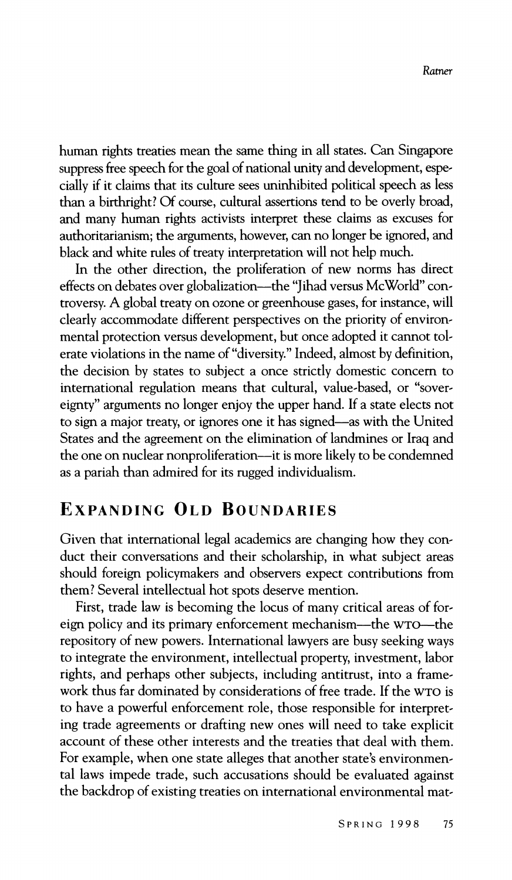**human rights treaties mean the same thing in all states. Can Singapore suppress free speech for the goal of national unity and development, especially if it claims that its culture sees uninhibited political speech as less than a birthright? Of course, cultural assertions tend to be overly broad, and many human rights activists interpret these claims as excuses for authoritarianism; the arguments, however, can no longer be ignored, and black and white rules of treaty interpretation will not help much.** 

**In the other direction, the proliferation of new norms has direct effects on debates over globalization-the "Jihad versus McWorld" controversy. A global treaty on ozone or greenhouse gases, for instance, will clearly accommodate different perspectives on the priority of environmental protection versus development, but once adopted it cannot tolerate violations in the name of "diversity." Indeed, almost by definition, the decision by states to subject a once strictly domestic concern to international regulation means that cultural, value-based, or "sovereignty" arguments no longer enjoy the upper hand. If a state elects not to sign a major treaty, or ignores one it has signed-as with the United States and the agreement on the elimination of landmines or Iraq and the one on nuclear nonproliferation-it is more likely to be condemned as a pariah than admired for its rugged individualism.** 

## **EXPANDING OLD BOUNDARIES**

**Given that international legal academics are changing how they conduct their conversations and their scholarship, in what subject areas should foreign policymakers and observers expect contributions from them? Several intellectual hot spots deserve mention.** 

**First, trade law is becoming the locus of many critical areas of foreign policy and its primary enforcement mechanism-the wTO-the repository of new powers. International lawyers are busy seeking ways to integrate the environment, intellectual property, investment, labor rights, and perhaps other subjects, including antitrust, into a framework thus far dominated by considerations of free trade. If the WTO is to have a powerful enforcement role, those responsible for interpreting trade agreements or drafting new ones will need to take explicit account of these other interests and the treaties that deal with them. For example, when one state alleges that another state's environmental laws impede trade, such accusations should be evaluated against the backdrop of existing treaties on international environmental mat-**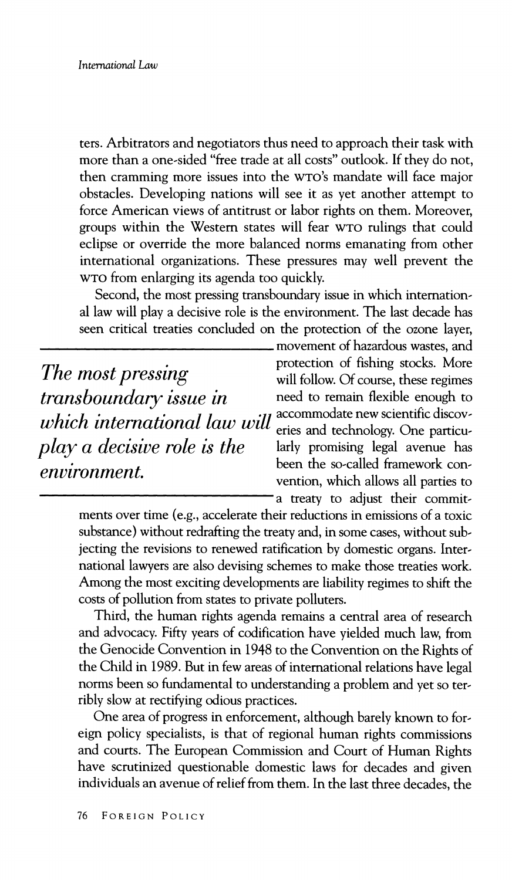**ters. Arbitrators and negotiators thus need to approach their task with more than a one-sided "free trade at all costs" outlook. If they do not, then cramming more issues into the WTO's mandate will face major obstacles. Developing nations will see it as yet another attempt to force American views of antitrust or labor rights on them. Moreover, groups within the Western states will fear WTO rulings that could eclipse or override the more balanced norms emanating from other international organizations. These pressures may well prevent the WTO from enlarging its agenda too quickly.** 

**Second, the most pressing transboundary issue in which international law will play a decisive role is the environment. The last decade has seen critical treaties concluded on the protection of the ozone layer,** 

**The most pressing transboundary issue in which international law will play a decisive role is the environment.** 

**Smovement ofhazardous wastes, and protection of fishing stocks. More will follow. Of course, these regimes need to remain flexible enough to accommodate new scientific discoveries and technology. One particularly promising legal avenue has been the so-called framework convention, which allows all parties to a treaty to adjust their commit-**

**ments over time (e.g., accelerate their reductions in emissions of a toxic substance) without redrafting the treaty and, in some cases, without subjecting the revisions to renewed ratification by domestic organs. International lawyers are also devising schemes to make those treaties work. Among the most exciting developments are liability regimes to shift the costs of pollution from states to private polluters.** 

**Third, the human rights agenda remains a central area of research and advocacy. Fifty years of codification have yielded much law, from the Genocide Convention in 1948 to the Convention on the Rights of the Child in 1989. But in few areas of international relations have legal norms been so fundamental to understanding a problem and yet so terribly slow at rectifying odious practices.** 

**One area of progress in enforcement, although barely known to foreign policy specialists, is that of regional human rights commissions and courts. The European Commission and Court of Human Rights have scrutinized questionable domestic laws for decades and given individuals an avenue of relief from them. In the last three decades, the**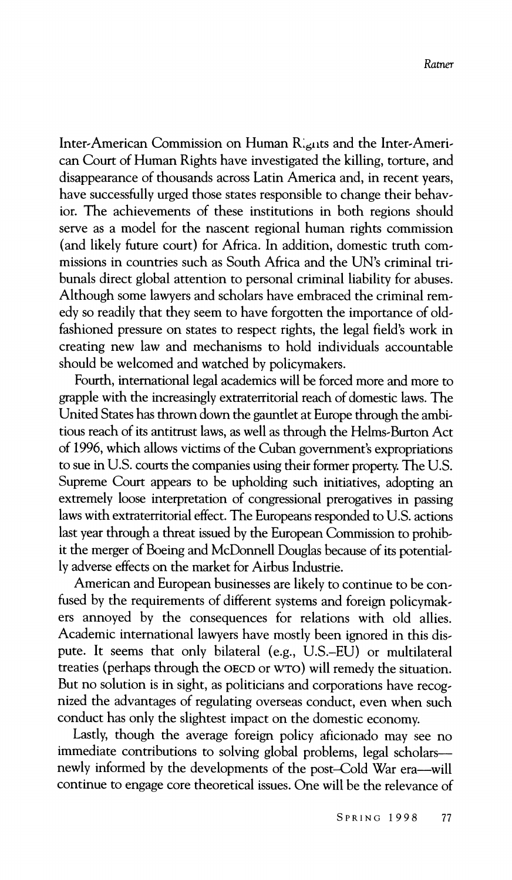Inter-American Commission on Human Riguts and the Inter-Ameri**can Court of Human Rights have investigated the killing, torture, and disappearance of thousands across Latin America and, in recent years, have successfully urged those states responsible to change their behavior. The achievements of these institutions in both regions should serve as a model for the nascent regional human rights commission (and likely future court) for Africa. In addition, domestic truth com**missions in countries such as South Africa and the UN's criminal tri**bunals direct global attention to personal criminal liability for abuses. Although some lawyers and scholars have embraced the criminal remedy so readily that they seem to have forgotten the importance of oldfashioned pressure on states to respect rights, the legal field's work in creating new law and mechanisms to hold individuals accountable should be welcomed and watched by policymakers.** 

**Fourth, international legal academics will be forced more and more to grapple with the increasingly extraterritorial reach of domestic laws. The United States has thrown down the gauntlet at Europe through the ambitious reach of its antitrust laws, as well as through the Helms-Burton Act of 1996, which allows victims of the Cuban government's expropriations to sue in U.S. courts the companies using their former property. The U.S. Supreme Court appears to be upholding such initiatives, adopting an extremely loose interpretation of congressional prerogatives in passing laws with extraterritorial effect. The Europeans responded to U.S. actions last year through a threat issued by the European Commission to prohibit the merger of Boeing and McDonnell Douglas because of its potential**ly adverse effects on the market for Airbus Industrie.

**American and European businesses are likely to continue to be confused by the requirements of different systems and foreign policymakers annoyed by the consequences for relations with old allies. Academic international lawyers have mostly been ignored in this dispute. It seems that only bilateral (e.g., U.S.-EU) or multilateral treaties (perhaps through the OECD or WTO) will remedy the situation. But no solution is in sight, as politicians and corporations have recognized the advantages of regulating overseas conduct, even when such conduct has only the slightest impact on the domestic economy.** 

**Lastly, though the average foreign policy aficionado may see no immediate contributions to solving global problems, legal scholarsnewly informed by the developments of the post-Cold War era-will continue to engage core theoretical issues. One will be the relevance of**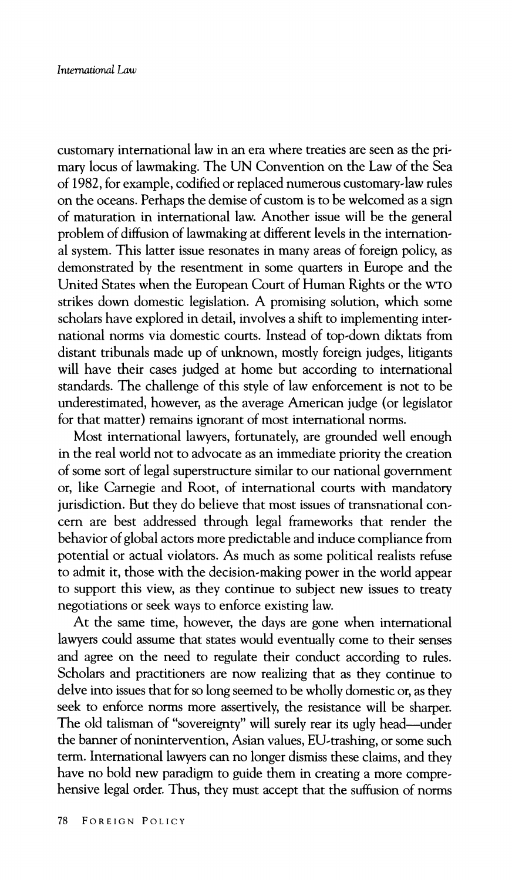**customary international law in an era where treaties are seen as the primary locus of lawmaking. The UN Convention on the Law of the Sea of 1982, for example, codified or replaced numerous customary-law rules on the oceans. Perhaps the demise of custom is to be welcomed as a sign of maturation in international law. Another issue will be the general problem of diffusion of lawmaking at different levels in the international system. This latter issue resonates in many areas of foreign policy, as demonstrated by the resentment in some quarters in Europe and the United States when the European Court of Human Rights or the WTO strikes down domestic legislation. A promising solution, which some scholars have explored in detail, involves a shift to implementing international norms via domestic courts. Instead of top-down diktats from distant tribunals made up of unknown, mostly foreign judges, litigants will have their cases judged at home but according to international standards. The challenge of this style of law enforcement is not to be underestimated, however, as the average American judge (or legislator for that matter) remains ignorant of most international norms.** 

**Most international lawyers, fortunately, are grounded well enough in the real world not to advocate as an immediate priority the creation of some sort of legal superstructure similar to our national government or, like Carnegie and Root, of international courts with mandatory jurisdiction. But they do believe that most issues of transnational concern are best addressed through legal frameworks that render the behavior of global actors more predictable and induce compliance from potential or actual violators. As much as some political realists refuse to admit it, those with the decision-making power in the world appear to support this view, as they continue to subject new issues to treaty negotiations or seek ways to enforce existing law.** 

**At the same time, however, the days are gone when international lawyers could assume that states would eventually come to their senses and agree on the need to regulate their conduct according to rules. Scholars and practitioners are now realizing that as they continue to delve into issues that for so long seemed to be wholly domestic or, as they seek to enforce norms more assertively, the resistance will be sharper. The old talisman of "sovereignty" will surely rear its ugly head-under the banner of nonintervention, Asian values, EU-trashing, or some such term. International lawyers can no longer dismiss these claims, and they have no bold new paradigm to guide them in creating a more comprehensive legal order. Thus, they must accept that the suffusion of norms**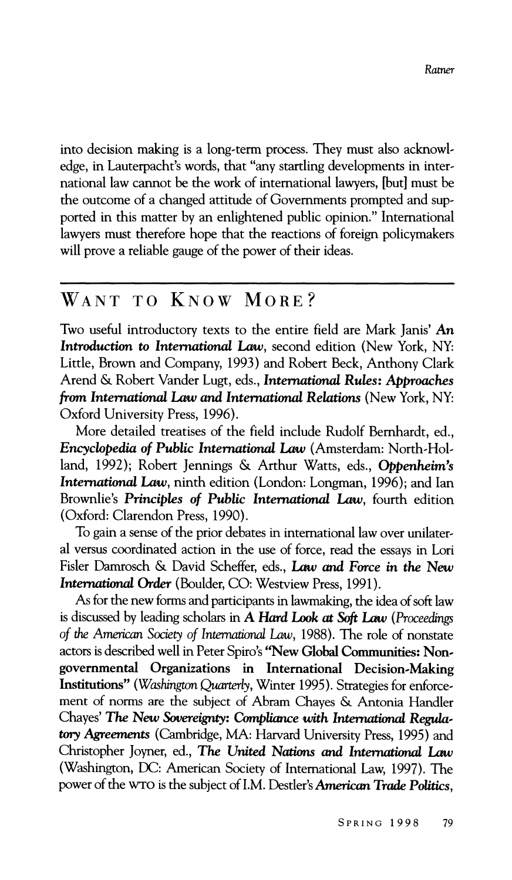**into decision making is a long-term process. They must also acknowledge, in Lauterpacht's words, that "any startling developments in inter**national law cannot be the work of international lawyers, [but] must be **the outcome of a changed attitude of Governments prompted and supported in this matter by an enlightened public opinion." International lawyers must therefore hope that the reactions of foreign policymakers will prove a reliable gauge of the power of their ideas.** 

# **WANT TO KNOW MORE?**

**Two useful introductory texts to the entire field are Mark Janis' An**  Introduction to International Law, second edition (New York, NY: **Little, Brown and Company, 1993) and Robert Beck, Anthony Clark Arend & Robert Vander Lugt, eds., International Rules: Approaches from International Law and International Relations (New York, NY: Oxford University Press, 1996).** 

More detailed treatises of the field include Rudolf Bernhardt, ed., **Encyclopedia of Public International Law (Amsterdam: North-Holland, 1992); Robert Jennings & Arthur Watts, eds., Oppenheim's International Law, ninth edition (London: Longman, 1996); and Ian Brownlie's Principles of Public International Law, fourth edition (Oxford: Clarendon Press, 1990).** 

**To gain a sense of the prior debates in international law over unilateral versus coordinated action in the use of force, read the essays in Lori Fisler Damrosch & David Scheffer, eds., Law and Force in the New International Order (Boulder, CO: Westview Press, 1991).** 

**As for the new forms and participants in lawmaking, the idea of soft law is discussed by leading scholars in A Hard Look at Soft law (Proceedings of the American Society of International Law, 1988). The role of nonstate actors is described well in Peter Spiro's "New Global Communities: Nongovernmental Organizations in International Decision-Making Institutions" (Washington Quarterly, Winter 1995). Strategies for enforcement of norms are the subject of Abram Chayes & Antonia Handler Chayes' The New Sovereignty: Compliance with International Regulatory Agreements (Cambridge, MA: Harvard University Press, 1995) and Christopher Joyner, ed., The United Nations and International Law (Washington, DC: American Society of International Law, 1997). The power of the wTo is the subject of I.M. Destler's American Trade Politics,**